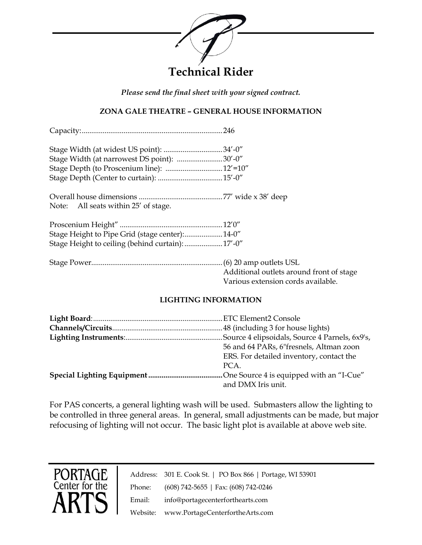

*Please send the final sheet with your signed contract.*

## **ZONA GALE THEATRE – GENERAL HOUSE INFORMATION**

Capacity:..........................................................................246

| Stage Width (at narrowest DS point): 30'-0" |  |
|---------------------------------------------|--|
|                                             |  |
|                                             |  |

Overall house dimensions ............................................77' wide x 38' deep Note: All seats within 25' of stage.

| Stage Height to Pipe Grid (stage center):14-0"    |  |
|---------------------------------------------------|--|
| Stage Height to ceiling (behind curtain):  17'-0" |  |

PORTAGE<br>Center for the

Stage Power.....................................................................(6) 20 amp outlets USL Additional outlets around front of stage Various extension cords available.

#### **LIGHTING INFORMATION**

| 56 and 64 PARs, 6"fresnels, Altman zoon  |
|------------------------------------------|
| ERS. For detailed inventory, contact the |
| PCA.                                     |
|                                          |
| and DMX Iris unit.                       |

For PAS concerts, a general lighting wash will be used. Submasters allow the lighting to be controlled in three general areas. In general, small adjustments can be made, but major refocusing of lighting will not occur. The basic light plot is available at above web site.

|        | Address: 301 E. Cook St.   PO Box 866   Portage, WI 53901 |
|--------|-----------------------------------------------------------|
| Phone: | $(608)$ 742-5655   Fax: $(608)$ 742-0246                  |
| Email: | info@portagecenterforthearts.com                          |
|        | Website: www.PortageCenterfortheArts.com                  |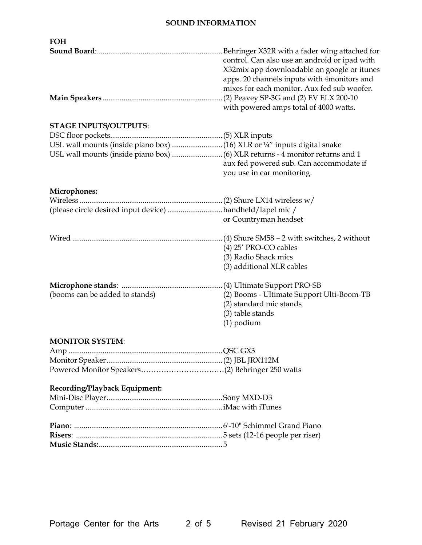### **SOUND INFORMATION**

| <b>FOH</b>                                               |                                                                                                                                                                                                                                                                                        |
|----------------------------------------------------------|----------------------------------------------------------------------------------------------------------------------------------------------------------------------------------------------------------------------------------------------------------------------------------------|
|                                                          | Behringer X32R with a fader wing attached for<br>control. Can also use an android or ipad with<br>X32mix app downloadable on google or itunes<br>apps. 20 channels inputs with 4 monitors and<br>mixes for each monitor. Aux fed sub woofer.<br>with powered amps total of 4000 watts. |
| <b>STAGE INPUTS/OUTPUTS:</b>                             |                                                                                                                                                                                                                                                                                        |
|                                                          |                                                                                                                                                                                                                                                                                        |
|                                                          |                                                                                                                                                                                                                                                                                        |
|                                                          | aux fed powered sub. Can accommodate if<br>you use in ear monitoring.                                                                                                                                                                                                                  |
| Microphones:                                             |                                                                                                                                                                                                                                                                                        |
|                                                          |                                                                                                                                                                                                                                                                                        |
| (please circle desired input device) handheld/lapel mic/ |                                                                                                                                                                                                                                                                                        |
|                                                          | or Countryman headset                                                                                                                                                                                                                                                                  |
|                                                          | $(4)$ 25' PRO-CO cables<br>(3) Radio Shack mics<br>(3) additional XLR cables                                                                                                                                                                                                           |
| (booms can be added to stands)                           | (2) Booms - Ultimate Support Ulti-Boom-TB<br>(2) standard mic stands<br>(3) table stands<br>$(1)$ podium                                                                                                                                                                               |
| <b>MONITOR SYSTEM:</b>                                   |                                                                                                                                                                                                                                                                                        |
|                                                          |                                                                                                                                                                                                                                                                                        |
|                                                          |                                                                                                                                                                                                                                                                                        |
|                                                          |                                                                                                                                                                                                                                                                                        |
| Recording/Playback Equipment:                            |                                                                                                                                                                                                                                                                                        |
|                                                          |                                                                                                                                                                                                                                                                                        |
|                                                          |                                                                                                                                                                                                                                                                                        |
|                                                          |                                                                                                                                                                                                                                                                                        |
|                                                          |                                                                                                                                                                                                                                                                                        |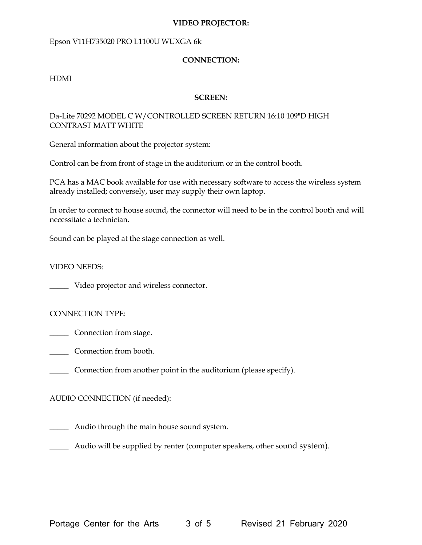#### **VIDEO PROJECTOR:**

#### Epson V11H735020 PRO L1100U WUXGA 6k

#### **CONNECTION:**

#### HDMI

#### **SCREEN:**

#### Da-Lite 70292 MODEL C W/CONTROLLED SCREEN RETURN 16:10 109"D HIGH CONTRAST MATT WHITE

General information about the projector system:

Control can be from front of stage in the auditorium or in the control booth.

PCA has a MAC book available for use with necessary software to access the wireless system already installed; conversely, user may supply their own laptop.

In order to connect to house sound, the connector will need to be in the control booth and will necessitate a technician.

Sound can be played at the stage connection as well.

VIDEO NEEDS:

\_\_\_\_\_ Video projector and wireless connector.

#### CONNECTION TYPE:

\_\_\_\_\_ Connection from stage.

- \_\_\_\_\_ Connection from booth.
- \_\_\_\_\_ Connection from another point in the auditorium (please specify).

#### AUDIO CONNECTION (if needed):

\_\_\_\_\_ Audio through the main house sound system.

\_\_\_\_\_ Audio will be supplied by renter (computer speakers, other sound system).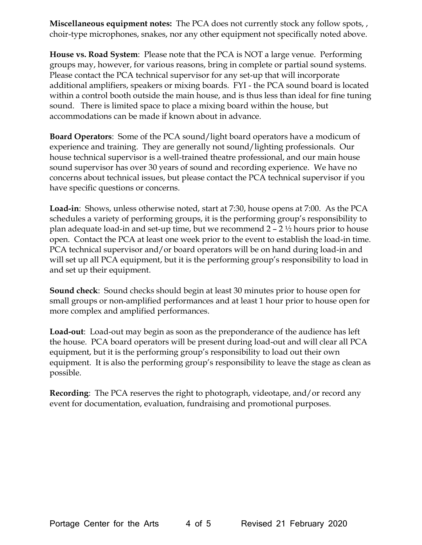**Miscellaneous equipment notes:** The PCA does not currently stock any follow spots, , choir-type microphones, snakes, nor any other equipment not specifically noted above.

**House vs. Road System**: Please note that the PCA is NOT a large venue. Performing groups may, however, for various reasons, bring in complete or partial sound systems. Please contact the PCA technical supervisor for any set-up that will incorporate additional amplifiers, speakers or mixing boards. FYI - the PCA sound board is located within a control booth outside the main house, and is thus less than ideal for fine tuning sound. There is limited space to place a mixing board within the house, but accommodations can be made if known about in advance.

**Board Operators**: Some of the PCA sound/light board operators have a modicum of experience and training. They are generally not sound/lighting professionals. Our house technical supervisor is a well-trained theatre professional, and our main house sound supervisor has over 30 years of sound and recording experience. We have no concerns about technical issues, but please contact the PCA technical supervisor if you have specific questions or concerns.

**Load-in**: Shows, unless otherwise noted, start at 7:30, house opens at 7:00. As the PCA schedules a variety of performing groups, it is the performing group's responsibility to plan adequate load-in and set-up time, but we recommend  $2 - 2\frac{1}{2}$  hours prior to house open. Contact the PCA at least one week prior to the event to establish the load-in time. PCA technical supervisor and/or board operators will be on hand during load-in and will set up all PCA equipment, but it is the performing group's responsibility to load in and set up their equipment.

**Sound check**: Sound checks should begin at least 30 minutes prior to house open for small groups or non-amplified performances and at least 1 hour prior to house open for more complex and amplified performances.

**Load-out**: Load-out may begin as soon as the preponderance of the audience has left the house. PCA board operators will be present during load-out and will clear all PCA equipment, but it is the performing group's responsibility to load out their own equipment. It is also the performing group's responsibility to leave the stage as clean as possible.

**Recording**: The PCA reserves the right to photograph, videotape, and/or record any event for documentation, evaluation, fundraising and promotional purposes.